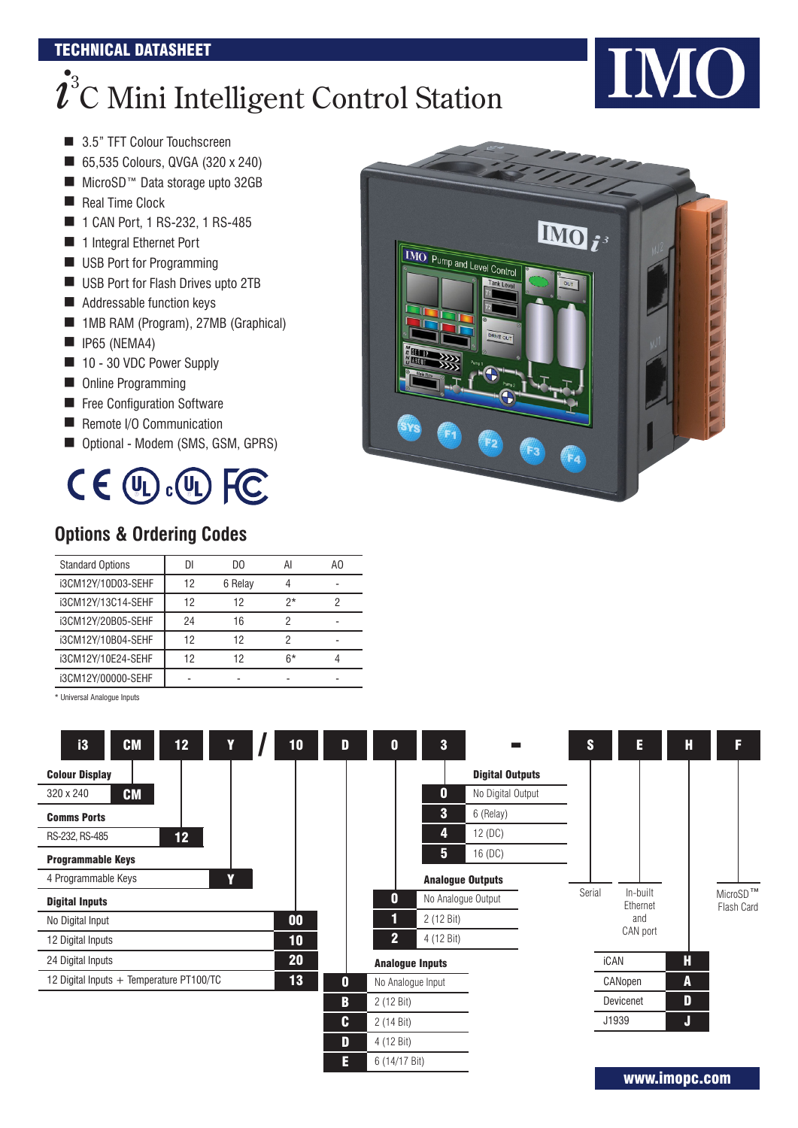#### TECHNICAL DATASHEET

# $\boldsymbol{\dot\ell}^{\mathrm{s}}$ C Mini Intelligent Control Station

**INO** 

- 3.5" TFT Colour Touchscreen
- 65,535 Colours, QVGA (320 x 240)
- MicroSD<sup>™</sup> Data storage upto 32GB
- Real Time Clock
- 1 CAN Port, 1 RS-232, 1 RS-485
- **1** 1 Integral Ethernet Port
- USB Port for Programming
- USB Port for Flash Drives upto 2TB
- Addressable function keys
- 1MB RAM (Program), 27MB (Graphical)
- $\blacksquare$  IP65 (NEMA4)
- 10 30 VDC Power Supply
- Online Programming
- **E** Free Configuration Software
- Remote I/O Communication
- Optional Modem (SMS, GSM, GPRS)



### **Options & Ordering Codes**

| <b>Standard Options</b> |    | DΟ      | A    | ΑO |
|-------------------------|----|---------|------|----|
| i3CM12Y/10D03-SEHF      | 12 | 6 Relay |      |    |
| i3CM12Y/13C14-SEHF      | 12 | 12      | $2*$ |    |
| i3CM12Y/20B05-SEHF      | 24 | 16      |      |    |
| i3CM12Y/10B04-SEHF      | 12 | 12      |      |    |
| i3CM12Y/10E24-SEHF      | 12 | 12      | $6*$ |    |
| i3CM12Y/00000-SEHF      |    |         |      |    |

\* Universal Analogue Inputs



www.imopc.com

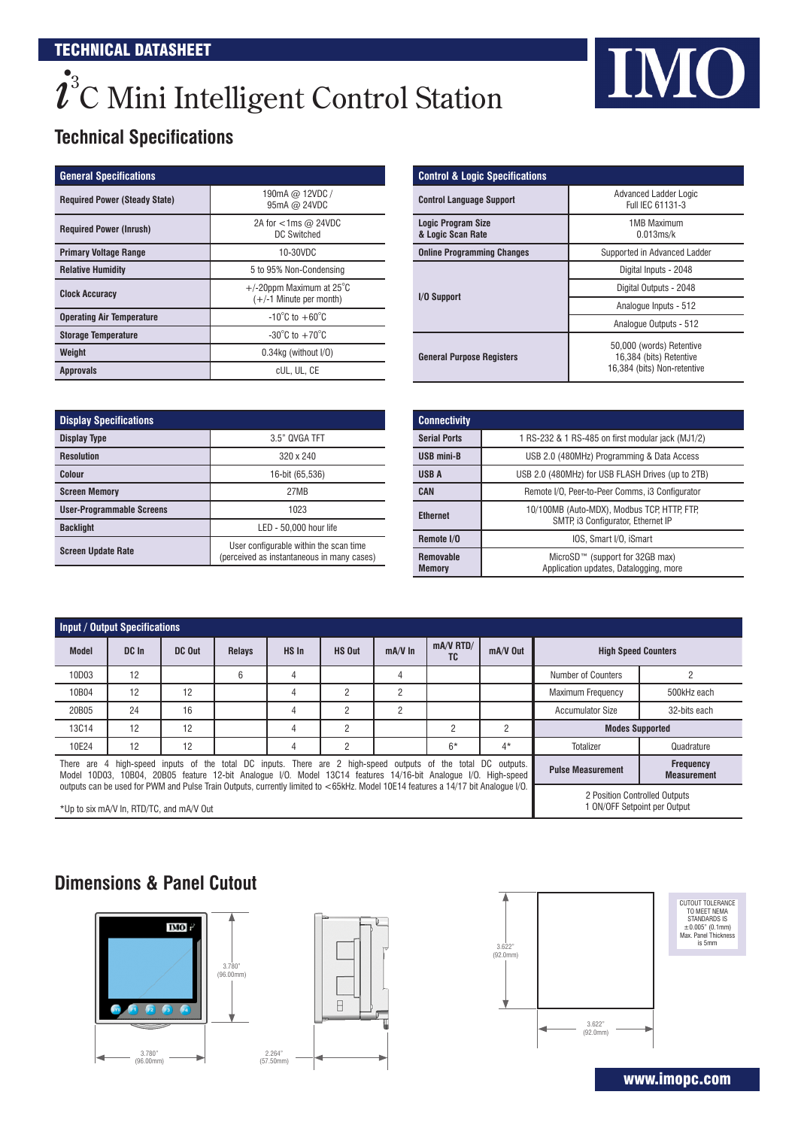# $\boldsymbol{\dot\ell}^{\mathrm{s}}$ C Mini Intelligent Control Station

# IMO

# **Technical Specifications**

| <b>General Specifications</b>        |                                                                      |
|--------------------------------------|----------------------------------------------------------------------|
| <b>Required Power (Steady State)</b> | 190mA @ 12VDC /<br>95mA @ 24VDC                                      |
| <b>Required Power (Inrush)</b>       | 2A for $<$ 1ms $\omega$ 24VDC<br>DC Switched                         |
| <b>Primary Voltage Range</b>         | 10-30VDC                                                             |
| <b>Relative Humidity</b>             | 5 to 95% Non-Condensing                                              |
| <b>Clock Accuracy</b>                | $+/-20$ ppm Maximum at 25 $^{\circ}$ C<br>$(+/-1)$ Minute per month) |
| <b>Operating Air Temperature</b>     | $-10^{\circ}$ C to $+60^{\circ}$ C                                   |
| <b>Storage Temperature</b>           | $-30^{\circ}$ C to $+70^{\circ}$ C                                   |
| Weight                               | $0.34$ kg (without $I/O$ )                                           |
| <b>Approvals</b>                     | cUL. UL. CE                                                          |

| <b>Display Specifications</b>    |                                                                                      |  |  |  |  |  |
|----------------------------------|--------------------------------------------------------------------------------------|--|--|--|--|--|
| <b>Display Type</b>              | 3.5" QVGA TFT                                                                        |  |  |  |  |  |
| <b>Resolution</b>                | 320 x 240                                                                            |  |  |  |  |  |
| Colour                           | 16-bit (65,536)                                                                      |  |  |  |  |  |
| <b>Screen Memory</b>             | 27MB                                                                                 |  |  |  |  |  |
| <b>User-Programmable Screens</b> | 1023                                                                                 |  |  |  |  |  |
| <b>Backlight</b>                 | LED - 50,000 hour life                                                               |  |  |  |  |  |
| <b>Screen Update Rate</b>        | User configurable within the scan time<br>(perceived as instantaneous in many cases) |  |  |  |  |  |

| <b>Control &amp; Logic Specifications</b>      |                                                                                    |  |  |  |  |
|------------------------------------------------|------------------------------------------------------------------------------------|--|--|--|--|
| <b>Control Language Support</b>                | <b>Advanced Ladder Logic</b><br>Full IEC 61131-3                                   |  |  |  |  |
| <b>Logic Program Size</b><br>& Logic Scan Rate | <b>1MB Maximum</b><br>0.013ms/k                                                    |  |  |  |  |
| <b>Online Programming Changes</b>              | Supported in Advanced Ladder                                                       |  |  |  |  |
|                                                | Digital Inputs - 2048                                                              |  |  |  |  |
| I/O Support                                    | Digital Outputs - 2048                                                             |  |  |  |  |
|                                                | Analogue Inputs - 512                                                              |  |  |  |  |
|                                                | Analogue Outputs - 512                                                             |  |  |  |  |
| <b>General Purpose Registers</b>               | 50,000 (words) Retentive<br>16,384 (bits) Retentive<br>16,384 (bits) Non-retentive |  |  |  |  |

| <b>Connectivity</b>               |                                                                                   |
|-----------------------------------|-----------------------------------------------------------------------------------|
| <b>Serial Ports</b>               | 1 RS-232 & 1 RS-485 on first modular jack (MJ1/2)                                 |
| <b>USB mini-B</b>                 | USB 2.0 (480MHz) Programming & Data Access                                        |
| <b>USBA</b>                       | USB 2.0 (480MHz) for USB FLASH Drives (up to 2TB)                                 |
| <b>CAN</b>                        | Remote I/O. Peer-to-Peer Comms. 13 Configurator                                   |
| <b>Ethernet</b>                   | 10/100MB (Auto-MDX), Modbus TCP, HTTP, FTP,<br>SMTP, i3 Configurator, Ethernet IP |
| Remote I/O                        | IOS, Smart I/O, iSmart                                                            |
| <b>Removable</b><br><b>Memory</b> | MicroSD™ (support for 32GB max)<br>Application updates, Datalogging, more         |

|                                                                                                                                                                                                                                                                                                                                                                                                                                           | <b>Input / Output Specifications</b> |                                          |               |       |                |                |                   |            |                                                               |              |  |
|-------------------------------------------------------------------------------------------------------------------------------------------------------------------------------------------------------------------------------------------------------------------------------------------------------------------------------------------------------------------------------------------------------------------------------------------|--------------------------------------|------------------------------------------|---------------|-------|----------------|----------------|-------------------|------------|---------------------------------------------------------------|--------------|--|
| <b>Model</b>                                                                                                                                                                                                                                                                                                                                                                                                                              | DC In                                | DC Out                                   | <b>Relays</b> | HS In | HS Out         | $mA/V$ In      | $mA/V$ RTD/<br>TC | $mA/V$ Out | <b>High Speed Counters</b>                                    |              |  |
| 10D03                                                                                                                                                                                                                                                                                                                                                                                                                                     | 12                                   |                                          | 6             |       |                | 4              |                   |            | Number of Counters                                            |              |  |
| 10B04                                                                                                                                                                                                                                                                                                                                                                                                                                     | 12                                   | 12                                       |               |       | 2              | $\overline{2}$ |                   |            | <b>Maximum Frequency</b>                                      | 500kHz each  |  |
| 20B05                                                                                                                                                                                                                                                                                                                                                                                                                                     | 24                                   | 16                                       |               |       | $\overline{2}$ | 2              |                   |            | <b>Accumulator Size</b>                                       | 32-bits each |  |
| 13C14                                                                                                                                                                                                                                                                                                                                                                                                                                     | 12                                   | 12                                       |               |       | $\overline{2}$ |                | $\overline{2}$    | 2          | <b>Modes Supported</b>                                        |              |  |
| 10E24                                                                                                                                                                                                                                                                                                                                                                                                                                     | 12                                   | 12                                       |               |       | C              |                | $6*$              | $4*$       | Totalizer                                                     | Quadrature   |  |
| There are 4 high-speed inputs of the total DC inputs. There are 2 high-speed outputs of the total DC outputs.<br><b>Frequency</b><br><b>Pulse Measurement</b><br>Model 10D03, 10B04, 20B05 feature 12-bit Analogue I/O. Model 13C14 features 14/16-bit Analogue I/O. High-speed<br><b>Measurement</b><br>outouts can be used for PWM and Pulse Train Outouts, currently limited to <65kHz, Model 10E14 features a 14/17 bit Analogue I/O. |                                      |                                          |               |       |                |                |                   |            |                                                               |              |  |
|                                                                                                                                                                                                                                                                                                                                                                                                                                           |                                      | *Up to six mA/V In. RTD/TC, and mA/V Out |               |       |                |                |                   |            | 2 Position Controlled Outputs<br>1 ON/OFF Setpoint per Output |              |  |

# **Dimensions & Panel Cutout**





www.imopc.com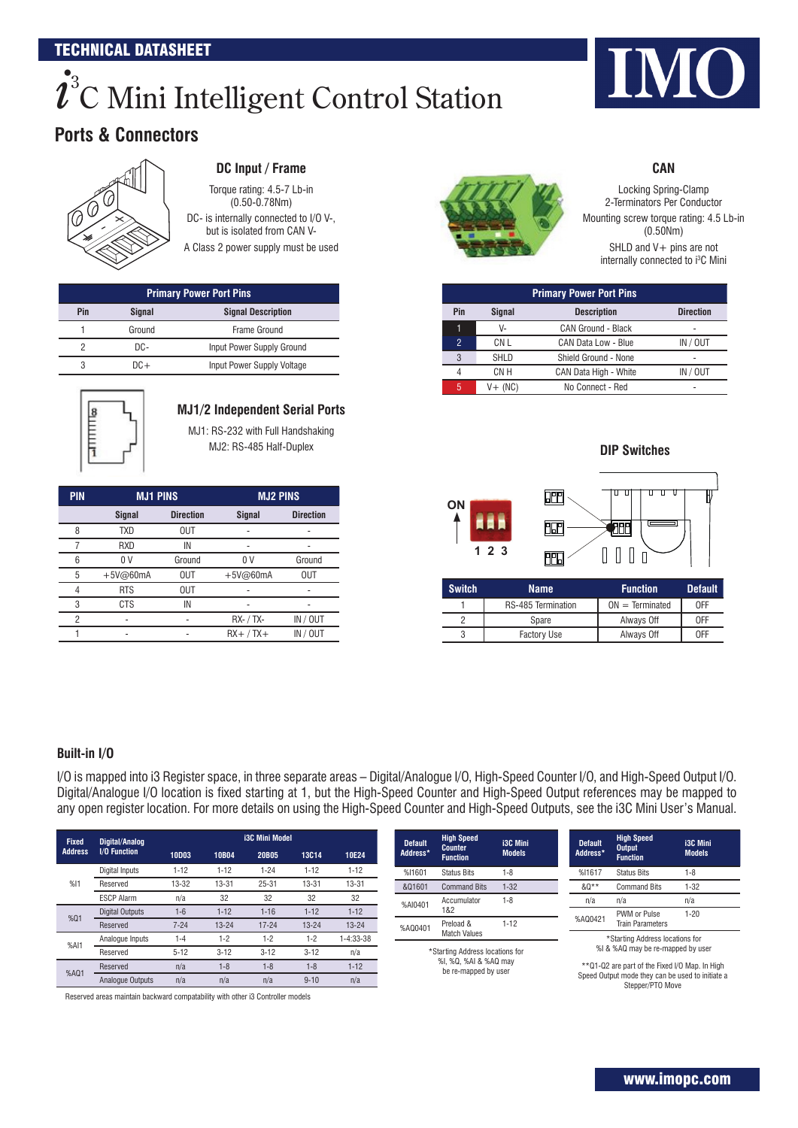#### TECHNICAL DATASHEET

# $\boldsymbol{\dot\ell}^{\mathrm{s}}$ C Mini Intelligent Control Station

### **Ports & Connectors**



#### **DC Input / Frame**

Torque rating: 4.5-7 Lb-in (0.50-0.78Nm) DC- is internally connected to I/O V-. but is isolated from CAN V-

A Class 2 power supply must be used

| <b>Primary Power Port Pins</b>                    |        |                            |  |  |  |  |  |
|---------------------------------------------------|--------|----------------------------|--|--|--|--|--|
| Pin<br><b>Signal Description</b><br><b>Signal</b> |        |                            |  |  |  |  |  |
|                                                   | Ground | Frame Ground               |  |  |  |  |  |
| っ                                                 | DC-    | Input Power Supply Ground  |  |  |  |  |  |
| 3                                                 | $DC+$  | Input Power Supply Voltage |  |  |  |  |  |



### **MJ1/2 Independent Serial Ports**

MJ1: RS-232 with Full Handshaking MJ2: RS-485 Half-Duplex

| <b>PIN</b> | <b>MJ1 PINS</b> |                  | <b>MJ2 PINS</b> |                  |  |  |
|------------|-----------------|------------------|-----------------|------------------|--|--|
|            | <b>Signal</b>   | <b>Direction</b> | <b>Signal</b>   | <b>Direction</b> |  |  |
| 8          | <b>TXD</b>      | <b>OUT</b>       |                 |                  |  |  |
|            | RXD             | IN               |                 |                  |  |  |
| 6          | 0 <sub>V</sub>  | Ground           | 0 V             | Ground           |  |  |
| 5          | $+5V@60mA$      | <b>OUT</b>       | $+5V@60mA$      | <b>OUT</b>       |  |  |
| 4          | <b>RTS</b>      | <b>OUT</b>       |                 |                  |  |  |
| 3          | <b>CTS</b>      | IN               |                 |                  |  |  |
| 2          |                 |                  | RX- / TX-       | IN / OUT         |  |  |
|            |                 |                  | $RX+$ / $TX+$   | IN / OUT         |  |  |



**CAN**

Locking Spring-Clamp 2-Terminators Per Conductor Mounting screw torque rating: 4.5 Lb-in (0.50Nm) SHLD and V+ pins are not

internally connected to i<sup>3</sup>C Mini

| <b>Primary Power Port Pins</b> |               |                           |                  |  |  |  |  |  |  |
|--------------------------------|---------------|---------------------------|------------------|--|--|--|--|--|--|
| Pin                            | <b>Signal</b> | <b>Description</b>        | <b>Direction</b> |  |  |  |  |  |  |
| 1                              | V-            | <b>CAN Ground - Black</b> |                  |  |  |  |  |  |  |
| 2                              | CN L          | CAN Data Low - Blue       | IN / OUT         |  |  |  |  |  |  |
| 3                              | <b>SHLD</b>   | Shield Ground - None      |                  |  |  |  |  |  |  |
| 4                              | CN H          | CAN Data High - White     | IN / OUT         |  |  |  |  |  |  |
| 5                              | $V+$ (NC)     | No Connect - Red          |                  |  |  |  |  |  |  |

**DIP Switches** 跚 ŢΠ ū **ON** 丽 畑 **1 2 3**  $\begin{array}{c} 1 & 0 \\ 0 & 1 \end{array}$ **PPD**  $\prod$ 

| <b>Switch</b> | <b>Name</b>               | <b>Function</b>   | <b>Default</b> |
|---------------|---------------------------|-------------------|----------------|
|               | <b>RS-485 Termination</b> | $ON = Terminated$ | 0FF            |
|               | Spare                     | Always Off        | 0FF            |
|               | <b>Factory Use</b>        | Always Off        | 0FF            |

#### **Built-in I/O**

I/O is mapped into i3 Register space, in three separate areas – Digital/Analogue I/O, High-Speed Counter I/O, and High-Speed Output I/O. Digital/Analogue I/O location is fixed starting at 1, but the High-Speed Counter and High-Speed Output references may be mapped to any open register location. For more details on using the High-Speed Counter and High-Speed Outputs, see the i3C Mini User's Manual.

| <b>Fixed</b>   | Digital/Analog    |           |           | <b>i3C Mini Model</b> |              |           | <b>Default</b> | <b>High Speed</b>                 | <b>i3C Mini</b>                               | <b>Default</b> | <b>High Speed</b>                                                                      |
|----------------|-------------------|-----------|-----------|-----------------------|--------------|-----------|----------------|-----------------------------------|-----------------------------------------------|----------------|----------------------------------------------------------------------------------------|
| <b>Address</b> | I/O Function      | 10D03     | 10B04     | 20B05                 | <b>13C14</b> | 10E24     | Address*       | <b>Counter</b><br><b>Function</b> | <b>Models</b>                                 | Address*       | <b>Output</b><br><b>Function</b>                                                       |
|                | Digital Inputs    | $1 - 12$  | $1 - 12$  | $1 - 24$              | $1 - 12$     | $1 - 12$  | %I1601         | <b>Status Bits</b>                | $1 - 8$                                       | %I1617         | <b>Status Bits</b>                                                                     |
| %11            | Reserved          | $13 - 32$ | $13 - 31$ | $25 - 31$             | $13 - 31$    | $13 - 31$ | &Q1601         | <b>Command Bits</b>               | $1 - 32$                                      | &Q**           | <b>Command Bits</b>                                                                    |
|                | <b>ESCP Alarm</b> | n/a       | 32        | 32                    | 32           | 32        | %AI0401        | Accumulator                       | $1 - 8$                                       | n/a            | n/a                                                                                    |
| %Q1            | Digital Outputs   | $1-6$     | $1 - 12$  | $1 - 16$              | $1 - 12$     | $1 - 12$  |                | 1&2                               |                                               | %AQ0421        | PWM or Pulse                                                                           |
|                | Reserved          | $7 - 24$  | $13 - 24$ | $17 - 24$             | $13 - 24$    | $13 - 24$ | %AQ0401        | Preload &                         | $1 - 12$                                      |                | <b>Train Parameters</b>                                                                |
| %AI1           | Analogue Inputs   | $1 - 4$   | $1 - 2$   | $1 - 2$               | $1-2$        | 1-4:33-38 |                | <b>Match Values</b>               |                                               |                | *Starting Address locations for                                                        |
|                | Reserved          | $5 - 12$  | $3 - 12$  | $3 - 12$              | $3 - 12$     | n/a       |                |                                   | *Starting Address locations for               |                | %I & %AQ may be re-mapped by user                                                      |
| %AQ1           | Reserved          | n/a       | $1 - 8$   | $1 - 8$               | $1-8$        | $1 - 12$  |                |                                   | %I, %Q, %AI & %AQ may<br>be re-mapped by user |                | **Q1-Q2 are part of the Fixed I/O Map. In High                                         |
|                | Analogue Outputs  | n/a       | n/a       | n/a                   | $9 - 10$     | n/a       |                |                                   |                                               |                | Speed Output mode they can be used to initiate a<br>$O(1000 \times 10^{10} \text{ T})$ |

Reserved areas maintain backward compatability with other i3 Controller models

Stepper/PTO Move